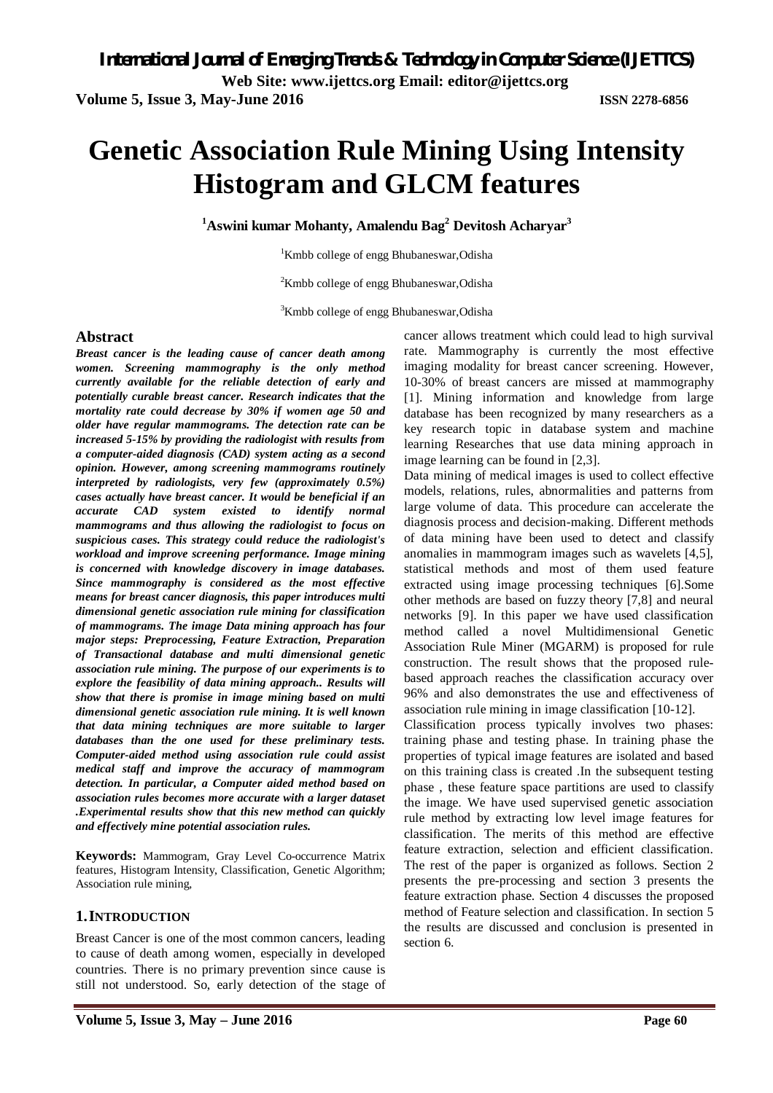**Volume 5, Issue 3, May-June 2016 ISSN 2278-6856**

# **Genetic Association Rule Mining Using Intensity Histogram and GLCM features**

**<sup>1</sup>Aswini kumar Mohanty, Amalendu Bag<sup>2</sup> Devitosh Acharyar 3**

<sup>1</sup>Kmbb college of engg Bhubaneswar, Odisha

<sup>2</sup>Kmbb college of engg Bhubaneswar, Odisha

<sup>3</sup>Kmbb college of engg Bhubaneswar, Odisha

### **Abstract**

*Breast cancer is the leading cause of cancer death among women. Screening mammography is the only method currently available for the reliable detection of early and potentially curable breast cancer. Research indicates that the mortality rate could decrease by 30% if women age 50 and older have regular mammograms. The detection rate can be increased 5-15% by providing the radiologist with results from a computer-aided diagnosis (CAD) system acting as a second opinion. However, among screening mammograms routinely interpreted by radiologists, very few (approximately 0.5%) cases actually have breast cancer. It would be beneficial if an accurate CAD system existed to identify normal mammograms and thus allowing the radiologist to focus on suspicious cases. This strategy could reduce the radiologist's workload and improve screening performance. Image mining is concerned with knowledge discovery in image databases. Since mammography is considered as the most effective means for breast cancer diagnosis, this paper introduces multi dimensional genetic association rule mining for classification of mammograms. The image Data mining approach has four major steps: Preprocessing, Feature Extraction, Preparation of Transactional database and multi dimensional genetic association rule mining. The purpose of our experiments is to explore the feasibility of data mining approach.. Results will show that there is promise in image mining based on multi dimensional genetic association rule mining. It is well known that data mining techniques are more suitable to larger databases than the one used for these preliminary tests. Computer-aided method using association rule could assist medical staff and improve the accuracy of mammogram detection. In particular, a Computer aided method based on association rules becomes more accurate with a larger dataset .Experimental results show that this new method can quickly and effectively mine potential association rules.*

**Keywords:** Mammogram, Gray Level Co-occurrence Matrix features, Histogram Intensity, Classification, Genetic Algorithm; Association rule mining,

# **1.INTRODUCTION**

Breast Cancer is one of the most common cancers, leading to cause of death among women, especially in developed countries. There is no primary prevention since cause is still not understood. So, early detection of the stage of

cancer allows treatment which could lead to high survival rate. Mammography is currently the most effective imaging modality for breast cancer screening. However, 10-30% of breast cancers are missed at mammography [1]. Mining information and knowledge from large database has been recognized by many researchers as a key research topic in database system and machine learning Researches that use data mining approach in image learning can be found in [2,3].

Data mining of medical images is used to collect effective models, relations, rules, abnormalities and patterns from large volume of data. This procedure can accelerate the diagnosis process and decision-making. Different methods of data mining have been used to detect and classify anomalies in mammogram images such as wavelets [4,5], statistical methods and most of them used feature extracted using image processing techniques [6].Some other methods are based on fuzzy theory [7,8] and neural networks [9]. In this paper we have used classification method called a novel Multidimensional Genetic Association Rule Miner (MGARM) is proposed for rule construction. The result shows that the proposed rulebased approach reaches the classification accuracy over 96% and also demonstrates the use and effectiveness of association rule mining in image classification [10-12].

Classification process typically involves two phases: training phase and testing phase. In training phase the properties of typical image features are isolated and based on this training class is created .In the subsequent testing phase , these feature space partitions are used to classify the image. We have used supervised genetic association rule method by extracting low level image features for classification. The merits of this method are effective feature extraction, selection and efficient classification. The rest of the paper is organized as follows. Section 2 presents the pre-processing and section 3 presents the feature extraction phase. Section 4 discusses the proposed method of Feature selection and classification. In section 5 the results are discussed and conclusion is presented in section 6.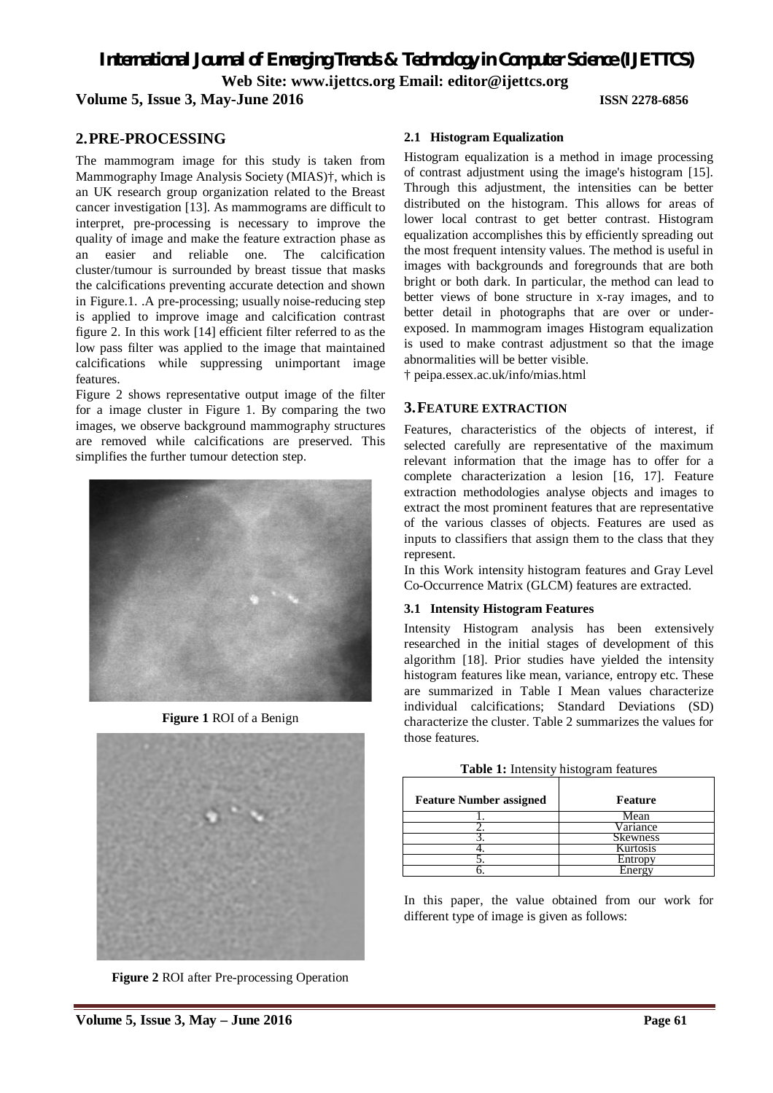**Volume 5, Issue 3, May-June 2016 ISSN 2278-6856**

# **2.PRE-PROCESSING**

The mammogram image for this study is taken from Mammography Image Analysis Society (MIAS)†, which is an UK research group organization related to the Breast cancer investigation [13]. As mammograms are difficult to interpret, pre-processing is necessary to improve the quality of image and make the feature extraction phase as an easier and reliable one. The calcification cluster/tumour is surrounded by breast tissue that masks the calcifications preventing accurate detection and shown in Figure.1. .A pre-processing; usually noise-reducing step is applied to improve image and calcification contrast figure 2. In this work [14] efficient filter referred to as the low pass filter was applied to the image that maintained calcifications while suppressing unimportant image features.

Figure 2 shows representative output image of the filter for a image cluster in Figure 1. By comparing the two images, we observe background mammography structures are removed while calcifications are preserved. This simplifies the further tumour detection step.



**Figure 1** ROI of a Benign



**Figure 2** ROI after Pre-processing Operation

### **2.1 Histogram Equalization**

Histogram equalization is a method in image processing of contrast adjustment using the image's histogram [15]. Through this adjustment, the intensities can be better distributed on the histogram. This allows for areas of lower local contrast to get better contrast. Histogram equalization accomplishes this by efficiently spreading out the most frequent intensity values. The method is useful in images with backgrounds and foregrounds that are both bright or both dark. In particular, the method can lead to better views of bone structure in x-ray images, and to better detail in photographs that are over or underexposed. In mammogram images Histogram equalization is used to make contrast adjustment so that the image abnormalities will be better visible.

† peipa.essex.ac.uk/info/mias.html

### **3.FEATURE EXTRACTION**

Features, characteristics of the objects of interest, if selected carefully are representative of the maximum relevant information that the image has to offer for a complete characterization a lesion [16, 17]. Feature extraction methodologies analyse objects and images to extract the most prominent features that are representative of the various classes of objects. Features are used as inputs to classifiers that assign them to the class that they represent.

In this Work intensity histogram features and Gray Level Co-Occurrence Matrix (GLCM) features are extracted.

### **3.1 Intensity Histogram Features**

Intensity Histogram analysis has been extensively researched in the initial stages of development of this algorithm [18]. Prior studies have yielded the intensity histogram features like mean, variance, entropy etc. These are summarized in Table I Mean values characterize individual calcifications; Standard Deviations (SD) characterize the cluster. Table 2 summarizes the values for those features.

| <b>Feature Number assigned</b> | Feature         |  |  |
|--------------------------------|-----------------|--|--|
|                                | Mean            |  |  |
|                                | Variance        |  |  |
|                                | <b>Skewness</b> |  |  |
|                                | Kurtosis        |  |  |
|                                | Entropy         |  |  |
|                                | Enerov          |  |  |

**Table 1:** Intensity histogram features

In this paper, the value obtained from our work for different type of image is given as follows: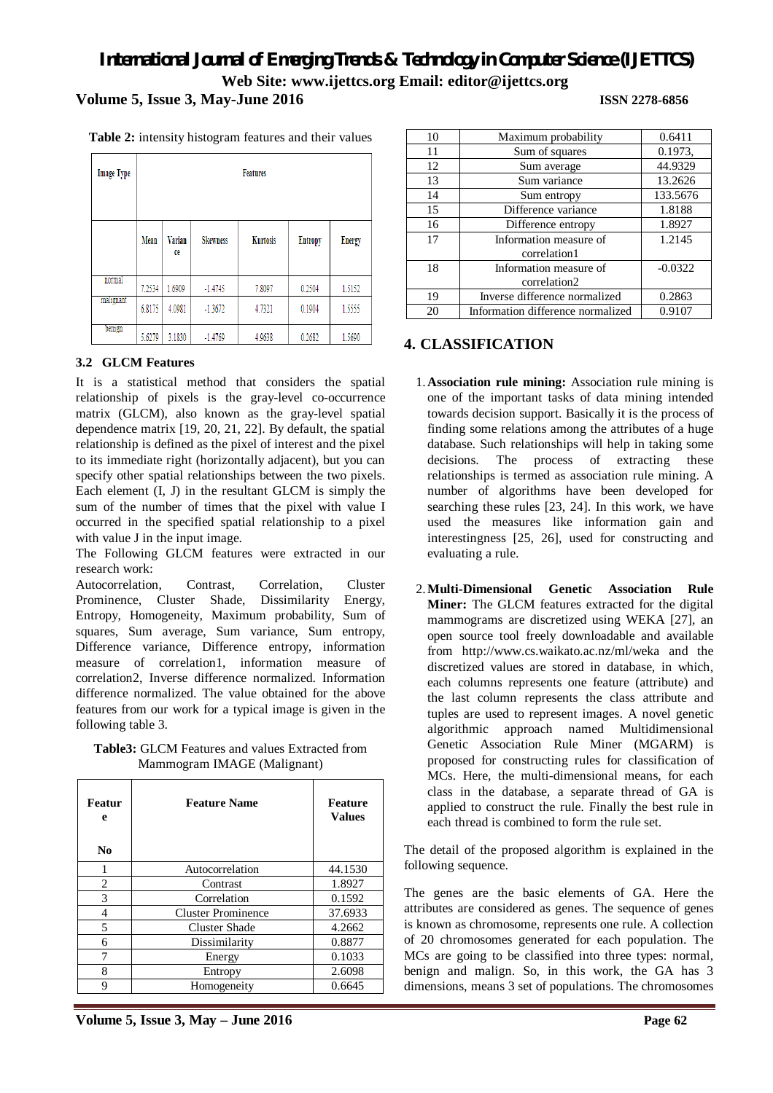# **Volume 5, Issue 3, May-June 2016 ISSN 2278-6856**

| <b>Image Type</b> | <b>Features</b> |              |                 |          |                |               |
|-------------------|-----------------|--------------|-----------------|----------|----------------|---------------|
|                   | Mean            | Varian<br>ce | <b>Skewness</b> | Kurtosis | <b>Entropy</b> | <b>Energy</b> |
| normal            | 7.2534          | 1.6909       | $-1.4745$       | 7.8097   | 0.2504         | 1.5152        |
| malignant         | 6.8175          | 4.0981       | $-1.3672$       | 4.7321   | 0.1904         | 1.5555        |
| benign            | 5.6279          | 3.1830       | $-1.4769$       | 4.9638   | 0.2682         | 1.5690        |

**Table 2:** intensity histogram features and their values

# **3.2 GLCM Features**

It is a statistical method that considers the spatial relationship of pixels is the gray-level co-occurrence matrix (GLCM), also known as the gray-level spatial dependence matrix [19, 20, 21, 22]. By default, the spatial relationship is defined as the pixel of interest and the pixel to its immediate right (horizontally adjacent), but you can specify other spatial relationships between the two pixels. Each element (I, J) in the resultant GLCM is simply the sum of the number of times that the pixel with value I occurred in the specified spatial relationship to a pixel with value J in the input image.

The Following GLCM features were extracted in our research work:

Autocorrelation, Contrast, Correlation, Cluster Prominence, Cluster Shade, Dissimilarity Energy, Entropy, Homogeneity, Maximum probability, Sum of squares, Sum average, Sum variance, Sum entropy, Difference variance, Difference entropy, information measure of correlation1, information measure of correlation2, Inverse difference normalized. Information difference normalized. The value obtained for the above features from our work for a typical image is given in the following table 3.

**Table3:** GLCM Features and values Extracted from Mammogram IMAGE (Malignant)

| Featur<br>e<br>No | <b>Feature Name</b>       | <b>Feature</b><br><b>Values</b> |
|-------------------|---------------------------|---------------------------------|
|                   | Autocorrelation           | 44.1530                         |
| 2                 | Contrast                  | 1.8927                          |
| 3                 | Correlation               | 0.1592                          |
| 4                 | <b>Cluster Prominence</b> | 37.6933                         |
| 5                 | <b>Cluster Shade</b>      | 4.2662                          |
| 6                 | Dissimilarity             | 0.8877                          |
| 7                 | Energy                    | 0.1033                          |
| 8                 | Entropy                   | 2.6098                          |
| 9                 | Homogeneity               | 0.6645                          |

**Volume 5, Issue 3, May – June 2016 Page 62**

| 10 | Maximum probability               | 0.6411    |
|----|-----------------------------------|-----------|
| 11 | Sum of squares                    | 0.1973,   |
| 12 | Sum average                       | 44.9329   |
| 13 | Sum variance                      | 13.2626   |
| 14 | Sum entropy                       | 133.5676  |
| 15 | Difference variance               | 1.8188    |
| 16 | Difference entropy                | 1.8927    |
| 17 | Information measure of            | 1.2145    |
|    | correlation1                      |           |
| 18 | Information measure of            | $-0.0322$ |
|    | correlation2                      |           |
| 19 | Inverse difference normalized     | 0.2863    |
| 20 | Information difference normalized | 0.9107    |

# **4. CLASSIFICATION**

- 1.**Association rule mining:** Association rule mining is one of the important tasks of data mining intended towards decision support. Basically it is the process of finding some relations among the attributes of a huge database. Such relationships will help in taking some decisions. The process of extracting these relationships is termed as association rule mining. A number of algorithms have been developed for searching these rules [23, 24]. In this work, we have used the measures like information gain and interestingness [25, 26], used for constructing and evaluating a rule.
- 2.**Multi-Dimensional Genetic Association Rule Miner:** The GLCM features extracted for the digital mammograms are discretized using WEKA [27], an open source tool freely downloadable and available from http://www.cs.waikato.ac.nz/ml/weka and the discretized values are stored in database, in which, each columns represents one feature (attribute) and the last column represents the class attribute and tuples are used to represent images. A novel genetic algorithmic approach named Multidimensional Genetic Association Rule Miner (MGARM) is proposed for constructing rules for classification of MCs. Here, the multi-dimensional means, for each class in the database, a separate thread of GA is applied to construct the rule. Finally the best rule in each thread is combined to form the rule set.

The detail of the proposed algorithm is explained in the following sequence.

The genes are the basic elements of GA. Here the attributes are considered as genes. The sequence of genes is known as chromosome, represents one rule. A collection of 20 chromosomes generated for each population. The MCs are going to be classified into three types: normal, benign and malign. So, in this work, the GA has 3 dimensions, means 3 set of populations. The chromosomes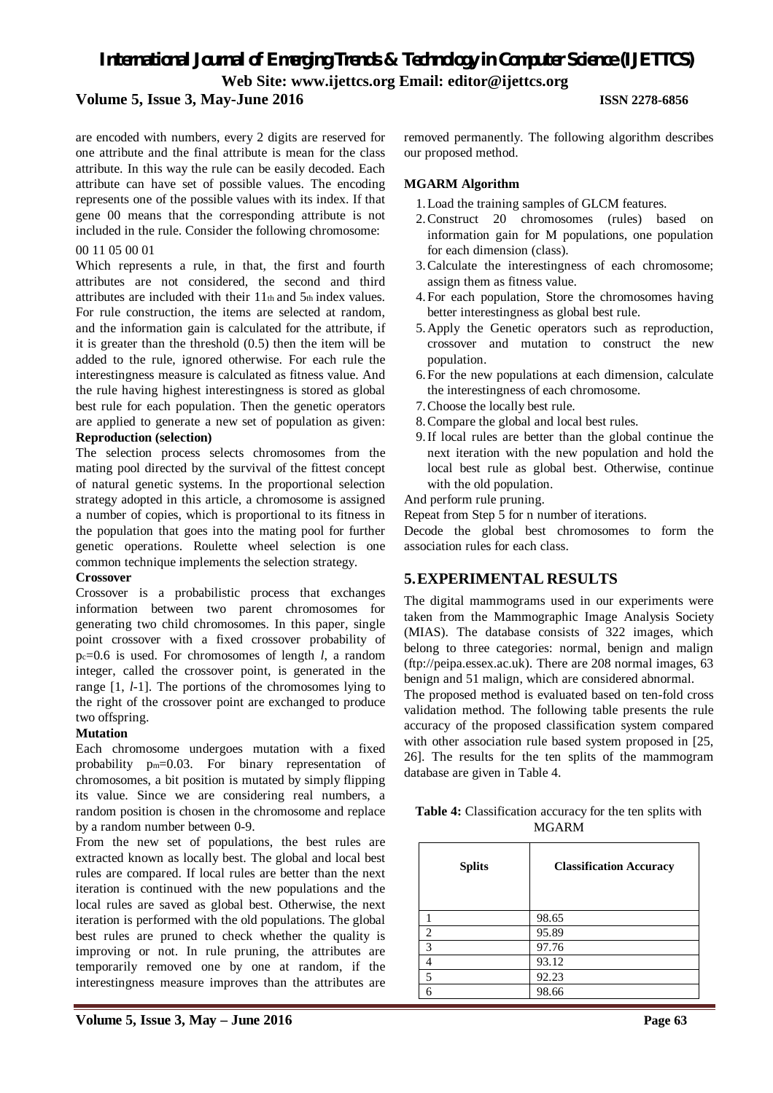**Volume 5, Issue 3, May-June 2016 ISSN 2278-6856**

are encoded with numbers, every 2 digits are reserved for one attribute and the final attribute is mean for the class attribute. In this way the rule can be easily decoded. Each attribute can have set of possible values. The encoding represents one of the possible values with its index. If that gene 00 means that the corresponding attribute is not included in the rule. Consider the following chromosome:

# 00 11 05 00 01

Which represents a rule, in that, the first and fourth attributes are not considered, the second and third attributes are included with their 11th and 5th index values. For rule construction, the items are selected at random, and the information gain is calculated for the attribute, if it is greater than the threshold (0.5) then the item will be added to the rule, ignored otherwise. For each rule the interestingness measure is calculated as fitness value. And the rule having highest interestingness is stored as global best rule for each population. Then the genetic operators are applied to generate a new set of population as given: **Reproduction (selection)**

The selection process selects chromosomes from the mating pool directed by the survival of the fittest concept of natural genetic systems. In the proportional selection strategy adopted in this article, a chromosome is assigned a number of copies, which is proportional to its fitness in the population that goes into the mating pool for further genetic operations. Roulette wheel selection is one common technique implements the selection strategy.

### **Crossover**

Crossover is a probabilistic process that exchanges information between two parent chromosomes for generating two child chromosomes. In this paper, single point crossover with a fixed crossover probability of pc=0.6 is used. For chromosomes of length *l*, a random integer, called the crossover point, is generated in the range [1, *l*-1]. The portions of the chromosomes lying to the right of the crossover point are exchanged to produce two offspring.

# **Mutation**

Each chromosome undergoes mutation with a fixed probability pm=0.03. For binary representation of chromosomes, a bit position is mutated by simply flipping its value. Since we are considering real numbers, a random position is chosen in the chromosome and replace by a random number between 0-9.

From the new set of populations, the best rules are extracted known as locally best. The global and local best rules are compared. If local rules are better than the next iteration is continued with the new populations and the local rules are saved as global best. Otherwise, the next iteration is performed with the old populations. The global best rules are pruned to check whether the quality is improving or not. In rule pruning, the attributes are temporarily removed one by one at random, if the interestingness measure improves than the attributes are

removed permanently. The following algorithm describes our proposed method.

# **MGARM Algorithm**

- 1.Load the training samples of GLCM features.
- 2.Construct 20 chromosomes (rules) based on information gain for M populations, one population for each dimension (class).
- 3.Calculate the interestingness of each chromosome; assign them as fitness value.
- 4.For each population, Store the chromosomes having better interestingness as global best rule.
- 5.Apply the Genetic operators such as reproduction, crossover and mutation to construct the new population.
- 6.For the new populations at each dimension, calculate the interestingness of each chromosome.
- 7.Choose the locally best rule.
- 8.Compare the global and local best rules.
- 9.If local rules are better than the global continue the next iteration with the new population and hold the local best rule as global best. Otherwise, continue with the old population.

And perform rule pruning.

Repeat from Step 5 for n number of iterations.

Decode the global best chromosomes to form the association rules for each class.

# **5.EXPERIMENTAL RESULTS**

The digital mammograms used in our experiments were taken from the Mammographic Image Analysis Society (MIAS). The database consists of 322 images, which belong to three categories: normal, benign and malign (ftp://peipa.essex.ac.uk). There are 208 normal images, 63 benign and 51 malign, which are considered abnormal.

The proposed method is evaluated based on ten-fold cross validation method. The following table presents the rule accuracy of the proposed classification system compared with other association rule based system proposed in [25, 26]. The results for the ten splits of the mammogram database are given in Table 4.

| Table 4: Classification accuracy for the ten splits with |  |
|----------------------------------------------------------|--|
| <b>MGARM</b>                                             |  |

| <b>Splits</b> | <b>Classification Accuracy</b> |
|---------------|--------------------------------|
|               | 98.65                          |
| 2             | 95.89                          |
| $\mathcal{R}$ | 97.76                          |
| 4             | 93.12                          |
| 5             | 92.23                          |
| 6             | 98.66                          |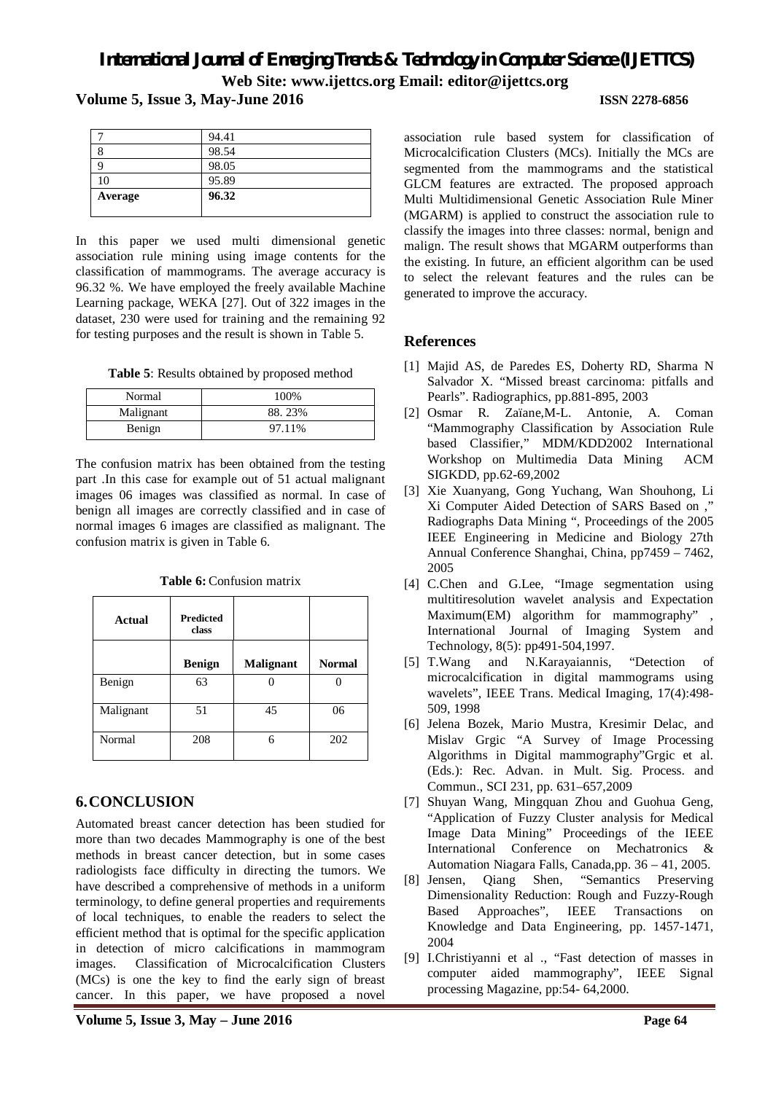**Volume 5, Issue 3, May-June 2016 ISSN 2278-6856**

|         | 94.41 |
|---------|-------|
|         | 98.54 |
|         | 98.05 |
| 10      | 95.89 |
| Average | 96.32 |
|         |       |

In this paper we used multi dimensional genetic association rule mining using image contents for the classification of mammograms. The average accuracy is 96.32 %. We have employed the freely available Machine Learning package, WEKA [27]. Out of 322 images in the dataset, 230 were used for training and the remaining 92 for testing purposes and the result is shown in Table 5.

**Table 5**: Results obtained by proposed method

| Normal    | 100%   |
|-----------|--------|
| Malignant | 88.23% |
| Benign    | 97.11% |

The confusion matrix has been obtained from the testing part .In this case for example out of 51 actual malignant images 06 images was classified as normal. In case of benign all images are correctly classified and in case of normal images 6 images are classified as malignant. The confusion matrix is given in Table 6.

| Actual    | <b>Predicted</b><br>class |                  |               |
|-----------|---------------------------|------------------|---------------|
|           | <b>Benign</b>             | <b>Malignant</b> | <b>Normal</b> |
| Benign    | 63                        |                  |               |
| Malignant | 51                        | 45               | 06            |
| Normal    | 208                       | 6                | 202           |

**Table 6:** Confusion matrix

# **6.CONCLUSION**

Automated breast cancer detection has been studied for more than two decades Mammography is one of the best methods in breast cancer detection, but in some cases radiologists face difficulty in directing the tumors. We have described a comprehensive of methods in a uniform terminology, to define general properties and requirements of local techniques, to enable the readers to select the efficient method that is optimal for the specific application in detection of micro calcifications in mammogram images. Classification of Microcalcification Clusters (MCs) is one the key to find the early sign of breast cancer. In this paper, we have proposed a novel

association rule based system for classification of Microcalcification Clusters (MCs). Initially the MCs are segmented from the mammograms and the statistical GLCM features are extracted. The proposed approach Multi Multidimensional Genetic Association Rule Miner (MGARM) is applied to construct the association rule to classify the images into three classes: normal, benign and malign. The result shows that MGARM outperforms than the existing. In future, an efficient algorithm can be used to select the relevant features and the rules can be generated to improve the accuracy.

# **References**

- [1] Majid AS, de Paredes ES, Doherty RD, Sharma N Salvador X. "Missed breast carcinoma: pitfalls and Pearls". Radiographics, pp.881-895, 2003
- [2] Osmar R. Zaïane,M-L. Antonie, A. Coman "Mammography Classification by Association Rule based Classifier," MDM/KDD2002 International Workshop on Multimedia Data Mining ACM SIGKDD, pp.62-69,2002
- [3] Xie Xuanyang, Gong Yuchang, Wan Shouhong, Li Xi Computer Aided Detection of SARS Based on ," Radiographs Data Mining ", Proceedings of the 2005 IEEE Engineering in Medicine and Biology 27th Annual Conference Shanghai, China, pp7459 – 7462, 2005
- [4] C.Chen and G.Lee, "Image segmentation using multitiresolution wavelet analysis and Expectation Maximum(EM) algorithm for mammography" International Journal of Imaging System and Technology, 8(5): pp491-504,1997.
- [5] T.Wang and N.Karayaiannis, "Detection of microcalcification in digital mammograms using wavelets", IEEE Trans. Medical Imaging, 17(4):498- 509, 1998
- [6] Jelena Bozek, Mario Mustra, Kresimir Delac, and Mislav Grgic "A Survey of Image Processing Algorithms in Digital mammography"Grgic et al. (Eds.): Rec. Advan. in Mult. Sig. Process. and Commun., SCI 231, pp. 631–657,2009
- [7] Shuyan Wang, Mingquan Zhou and Guohua Geng, "Application of Fuzzy Cluster analysis for Medical Image Data Mining" Proceedings of the IEEE International Conference on Mechatronics & Automation Niagara Falls, Canada,pp. 36 – 41, 2005.
- [8] Jensen, Qiang Shen, "Semantics Preserving Dimensionality Reduction: Rough and Fuzzy-Rough Based Approaches", IEEE Transactions on Knowledge and Data Engineering, pp. 1457-1471, 2004
- [9] I.Christiyanni et al ., "Fast detection of masses in computer aided mammography", IEEE Signal processing Magazine, pp:54- 64,2000.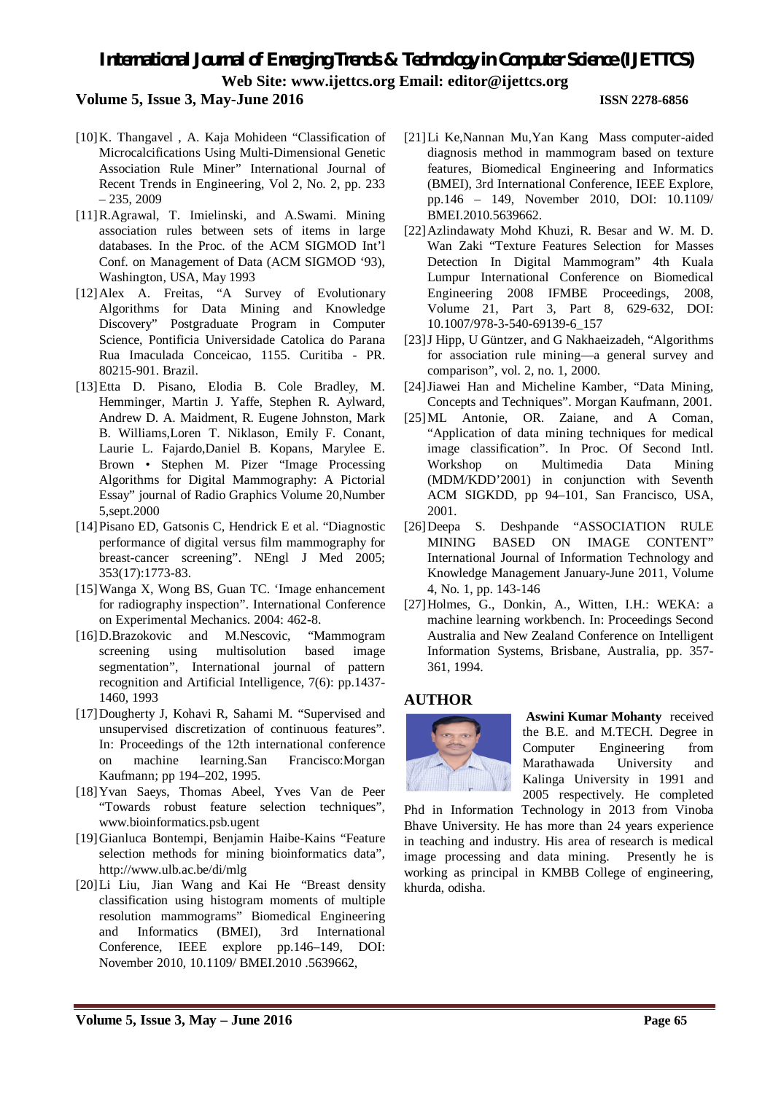# **Volume 5, Issue 3, May-June 2016 ISSN 2278-6856**

- [10]K. Thangavel, A. Kaja Mohideen "Classification of Microcalcifications Using Multi-Dimensional Genetic Association Rule Miner" International Journal of Recent Trends in Engineering, Vol 2, No. 2, pp. 233  $-235, 2009$
- [11]R.Agrawal, T. Imielinski, and A.Swami. Mining association rules between sets of items in large databases. In the Proc. of the ACM SIGMOD Int'l Conf. on Management of Data (ACM SIGMOD '93), Washington, USA, May 1993
- [12]Alex A. Freitas, "A Survey of Evolutionary Algorithms for Data Mining and Knowledge Discovery" Postgraduate Program in Computer Science, Pontificia Universidade Catolica do Parana Rua Imaculada Conceicao, 1155. Curitiba - PR. 80215-901. Brazil.
- [13]Etta D. Pisano, Elodia B. Cole Bradley, M. Hemminger, Martin J. Yaffe, Stephen R. Aylward, Andrew D. A. Maidment, R. Eugene Johnston, Mark B. Williams,Loren T. Niklason, Emily F. Conant, Laurie L. Fajardo,Daniel B. Kopans, Marylee E. Brown • Stephen M. Pizer "Image Processing Algorithms for Digital Mammography: A Pictorial Essay" journal of Radio Graphics Volume 20,Number 5,sept.2000
- [14]Pisano ED, Gatsonis C, Hendrick E et al. "Diagnostic performance of digital versus film mammography for breast-cancer screening". NEngl J Med 2005; 353(17):1773-83.
- [15]Wanga X, Wong BS, Guan TC. 'Image enhancement for radiography inspection". International Conference on Experimental Mechanics. 2004: 462-8.
- [16]D.Brazokovic and M.Nescovic, "Mammogram screening using multisolution based image segmentation", International journal of pattern recognition and Artificial Intelligence, 7(6): pp.1437- 1460, 1993
- [17]Dougherty J, Kohavi R, Sahami M. "Supervised and unsupervised discretization of continuous features". In: Proceedings of the 12th international conference on machine learning.San Francisco:Morgan Kaufmann; pp 194–202, 1995.
- [18]Yvan Saeys, Thomas Abeel, Yves Van de Peer "Towards robust feature selection techniques", www.bioinformatics.psb.ugent
- [19]Gianluca Bontempi, Benjamin Haibe-Kains "Feature selection methods for mining bioinformatics data", http://www.ulb.ac.be/di/mlg
- [20]Li Liu, Jian Wang and Kai He "Breast density classification using histogram moments of multiple resolution mammograms" Biomedical Engineering and Informatics (BMEI), 3rd International Conference, IEEE explore pp.146–149, DOI: November 2010, 10.1109/ BMEI.2010 .5639662,
- [21]Li Ke,Nannan Mu,Yan Kang Mass computer-aided diagnosis method in mammogram based on texture features, Biomedical Engineering and Informatics (BMEI), 3rd International Conference, IEEE Explore, pp.146 – 149, November 2010, DOI: 10.1109/ BMEI.2010.5639662.
- [22]Azlindawaty Mohd Khuzi, R. Besar and W. M. D. Wan Zaki "Texture Features Selection for Masses Detection In Digital Mammogram" 4th Kuala Lumpur International Conference on Biomedical Engineering 2008 IFMBE Proceedings, 2008, Volume 21, Part 3, Part 8, 629-632, DOI: 10.1007/978-3-540-69139-6\_157
- [23] J Hipp, U Güntzer, and G Nakhaeizadeh, "Algorithms for association rule mining––a general survey and comparison", vol. 2, no. 1, 2000.
- [24]Jiawei Han and Micheline Kamber, "Data Mining, Concepts and Techniques". Morgan Kaufmann, 2001.
- [25]ML Antonie, OR. Zaiane, and A Coman, "Application of data mining techniques for medical image classification". In Proc. Of Second Intl. Workshop on Multimedia Data Mining (MDM/KDD'2001) in conjunction with Seventh ACM SIGKDD, pp 94–101, San Francisco, USA, 2001.
- [26]Deepa S. Deshpande "ASSOCIATION RULE MINING BASED ON IMAGE CONTENT" International Journal of Information Technology and Knowledge Management January-June 2011, Volume 4, No. 1, pp. 143-146
- [27]Holmes, G., Donkin, A., Witten, I.H.: WEKA: a machine learning workbench. In: Proceedings Second Australia and New Zealand Conference on Intelligent Information Systems, Brisbane, Australia, pp. 357- 361, 1994.

### **AUTHOR**



**Aswini Kumar Mohanty** received the B.E. and M.TECH. Degree in Computer Engineering from Marathawada University and Kalinga University in 1991 and 2005 respectively. He completed

Phd in Information Technology in 2013 from Vinoba Bhave University. He has more than 24 years experience in teaching and industry. His area of research is medical image processing and data mining. Presently he is working as principal in KMBB College of engineering, khurda, odisha.